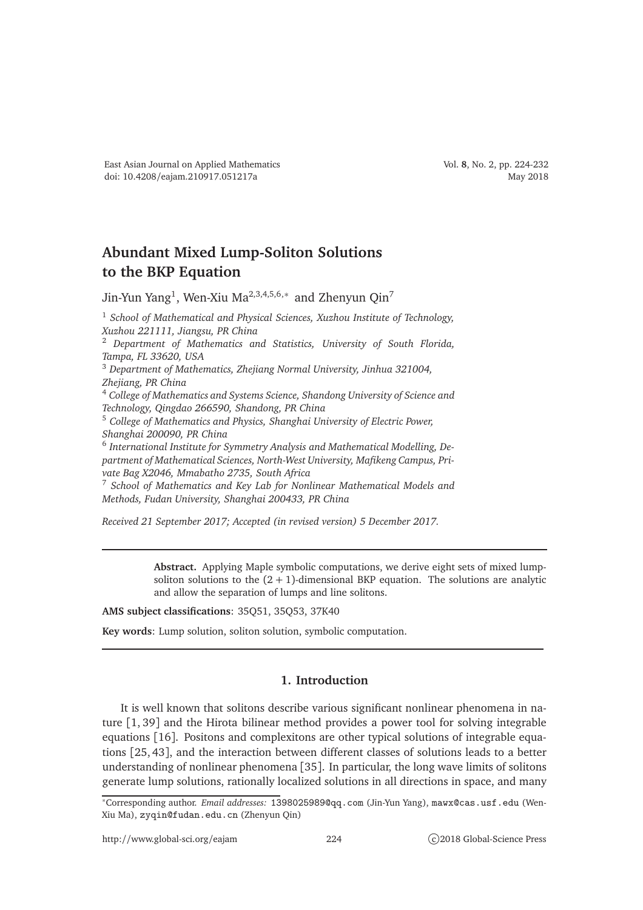## **Abundant Mixed Lump-Soliton Solutions to the BKP Equation**

Jin-Yun Yang $^1$ , Wen-Xiu Ma $^{2,3,4,5,6,*}$  and Zhenyun Qin $^7$ 

<sup>1</sup> *School of Mathematical and Physical Sciences, Xuzhou Institute of Technology, Xuzhou 221111, Jiangsu, PR China*

<sup>2</sup> *Department of Mathematics and Statistics, University of South Florida, Tampa, FL 33620, USA*

<sup>3</sup> *Department of Mathematics, Zhejiang Normal University, Jinhua 321004,*

*Zhejiang, PR China*

<sup>4</sup> *College of Mathematics and Systems Science, Shandong University of Science and Technology, Qingdao 266590, Shandong, PR China*

<sup>5</sup> *College of Mathematics and Physics, Shanghai University of Electric Power, Shanghai 200090, PR China*

6 *International Institute for Symmetry Analysis and Mathematical Modelling, Department of Mathematical Sciences, North-West University, Mafikeng Campus, Private Bag X2046, Mmabatho 2735, South Africa*

<sup>7</sup> *School of Mathematics and Key Lab for Nonlinear Mathematical Models and Methods, Fudan University, Shanghai 200433, PR China*

*Received 21 September 2017; Accepted (in revised version) 5 December 2017.*

**Abstract.** Applying Maple symbolic computations, we derive eight sets of mixed lumpsoliton solutions to the  $(2 + 1)$ -dimensional BKP equation. The solutions are analytic and allow the separation of lumps and line solitons.

**AMS subject classifications**: 35Q51, 35Q53, 37K40

**Key words**: Lump solution, soliton solution, symbolic computation.

## **1. Introduction**

It is well known that solitons describe various significant nonlinear phenomena in nature [1, 39] and the Hirota bilinear method provides a power tool for solving integrable equations [16]. Positons and complexitons are other typical solutions of integrable equations [25, 43], and the interaction between different classes of solutions leads to a better understanding of nonlinear phenomena [35]. In particular, the long wave limits of solitons generate lump solutions, rationally localized solutions in all directions in space, and many

<sup>∗</sup>Corresponding author. *Email addresses:* 1398025989@qq.com (Jin-Yun Yang), mawx@cas.usf.edu (Wen-Xiu Ma), zyqin@fudan.edu.cn (Zhenyun Qin)

http://www.global-sci.org/eajam 224 c)2018 Global-Science Press